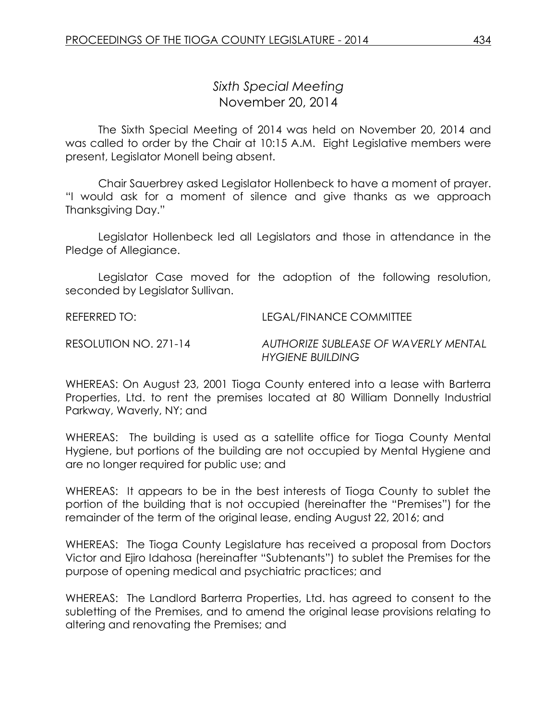## *Sixth Special Meeting* November 20, 2014

The Sixth Special Meeting of 2014 was held on November 20, 2014 and was called to order by the Chair at 10:15 A.M. Eight Legislative members were present, Legislator Monell being absent.

Chair Sauerbrey asked Legislator Hollenbeck to have a moment of prayer. "I would ask for a moment of silence and give thanks as we approach Thanksgiving Day."

Legislator Hollenbeck led all Legislators and those in attendance in the Pledge of Allegiance.

Legislator Case moved for the adoption of the following resolution, seconded by Legislator Sullivan.

REFERRED TO: LEGAL/FINANCE COMMITTEE

RESOLUTION NO. 271-14 *AUTHORIZE SUBLEASE OF WAVERLY MENTAL HYGIENE BUILDING*

WHEREAS: On August 23, 2001 Tioga County entered into a lease with Barterra Properties, Ltd. to rent the premises located at 80 William Donnelly Industrial Parkway, Waverly, NY; and

WHEREAS: The building is used as a satellite office for Tioga County Mental Hygiene, but portions of the building are not occupied by Mental Hygiene and are no longer required for public use; and

WHEREAS: It appears to be in the best interests of Tioga County to sublet the portion of the building that is not occupied (hereinafter the "Premises") for the remainder of the term of the original lease, ending August 22, 2016; and

WHEREAS: The Tioga County Legislature has received a proposal from Doctors Victor and Ejiro Idahosa (hereinafter "Subtenants") to sublet the Premises for the purpose of opening medical and psychiatric practices; and

WHEREAS: The Landlord Barterra Properties, Ltd. has agreed to consent to the subletting of the Premises, and to amend the original lease provisions relating to altering and renovating the Premises; and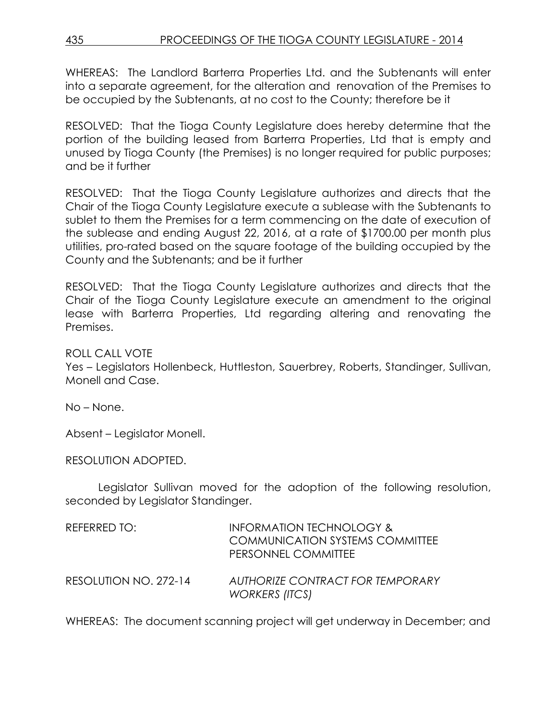435 PROCEEDINGS OF THE TIOGA COUNTY LEGISLATURE - 2014

WHEREAS: The Landlord Barterra Properties Ltd. and the Subtenants will enter into a separate agreement, for the alteration and renovation of the Premises to be occupied by the Subtenants, at no cost to the County; therefore be it

RESOLVED: That the Tioga County Legislature does hereby determine that the portion of the building leased from Barterra Properties, Ltd that is empty and unused by Tioga County (the Premises) is no longer required for public purposes; and be it further

RESOLVED: That the Tioga County Legislature authorizes and directs that the Chair of the Tioga County Legislature execute a sublease with the Subtenants to sublet to them the Premises for a term commencing on the date of execution of the sublease and ending August 22, 2016, at a rate of \$1700.00 per month plus utilities, pro-rated based on the square footage of the building occupied by the County and the Subtenants; and be it further

RESOLVED: That the Tioga County Legislature authorizes and directs that the Chair of the Tioga County Legislature execute an amendment to the original lease with Barterra Properties, Ltd regarding altering and renovating the Premises.

ROLL CALL VOTE

Yes – Legislators Hollenbeck, Huttleston, Sauerbrey, Roberts, Standinger, Sullivan, Monell and Case.

No – None.

Absent – Legislator Monell.

RESOLUTION ADOPTED.

Legislator Sullivan moved for the adoption of the following resolution, seconded by Legislator Standinger.

| REFERRED TO:          | <b>INFORMATION TECHNOLOGY &amp;</b><br><b>COMMUNICATION SYSTEMS COMMITTEE</b><br>PERSONNEL COMMITTEE |
|-----------------------|------------------------------------------------------------------------------------------------------|
| RESOLUTION NO. 272-14 | <b>AUTHORIZE CONTRACT FOR TEMPORARY</b><br><b>WORKERS (ITCS)</b>                                     |

WHEREAS: The document scanning project will get underway in December; and